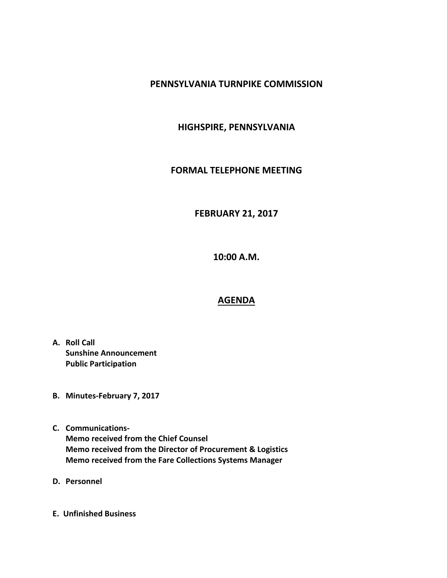### **PENNSYLVANIA TURNPIKE COMMISSION**

## **HIGHSPIRE, PENNSYLVANIA**

### **FORMAL TELEPHONE MEETING**

# **FEBRUARY 21, 2017**

**10:00 A.M.**

### **AGENDA**

- **A. Roll Call Sunshine Announcement Public Participation**
- **B. Minutes-February 7, 2017**
- **C. Communications-Memo received from the Chief Counsel Memo received from the Director of Procurement & Logistics Memo received from the Fare Collections Systems Manager**
- **D. Personnel**
- **E. Unfinished Business**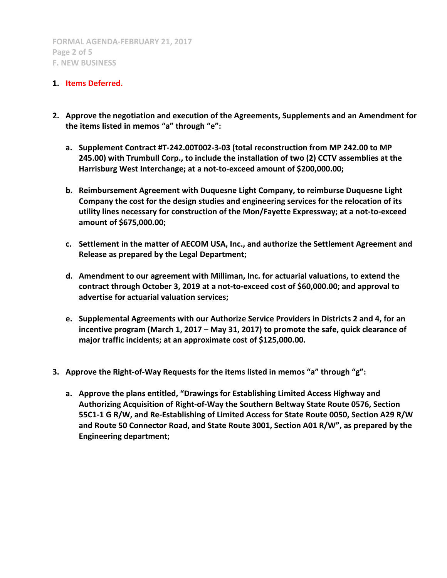#### **1. Items Deferred.**

- **2. Approve the negotiation and execution of the Agreements, Supplements and an Amendment for the items listed in memos "a" through "e":**
	- **a. Supplement Contract #T-242.00T002-3-03 (total reconstruction from MP 242.00 to MP 245.00) with Trumbull Corp., to include the installation of two (2) CCTV assemblies at the Harrisburg West Interchange; at a not-to-exceed amount of \$200,000.00;**
	- **b. Reimbursement Agreement with Duquesne Light Company, to reimburse Duquesne Light Company the cost for the design studies and engineering services for the relocation of its utility lines necessary for construction of the Mon/Fayette Expressway; at a not-to-exceed amount of \$675,000.00;**
	- **c. Settlement in the matter of AECOM USA, Inc., and authorize the Settlement Agreement and Release as prepared by the Legal Department;**
	- **d. Amendment to our agreement with Milliman, Inc. for actuarial valuations, to extend the contract through October 3, 2019 at a not-to-exceed cost of \$60,000.00; and approval to advertise for actuarial valuation services;**
	- **e. Supplemental Agreements with our Authorize Service Providers in Districts 2 and 4, for an incentive program (March 1, 2017 – May 31, 2017) to promote the safe, quick clearance of major traffic incidents; at an approximate cost of \$125,000.00.**
- **3. Approve the Right-of-Way Requests for the items listed in memos "a" through "g":**
	- **a. Approve the plans entitled, "Drawings for Establishing Limited Access Highway and Authorizing Acquisition of Right-of-Way the Southern Beltway State Route 0576, Section 55C1-1 G R/W, and Re-Establishing of Limited Access for State Route 0050, Section A29 R/W and Route 50 Connector Road, and State Route 3001, Section A01 R/W", as prepared by the Engineering department;**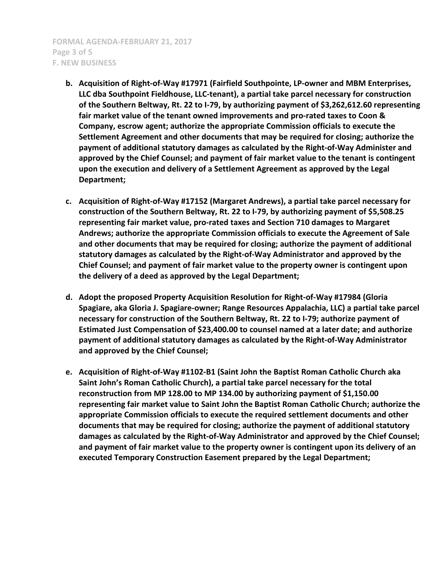**FORMAL AGENDA-FEBRUARY 21, 2017 Page 3 of 5 F. NEW BUSINESS**

- **b. Acquisition of Right-of-Way #17971 (Fairfield Southpointe, LP-owner and MBM Enterprises, LLC dba Southpoint Fieldhouse, LLC-tenant), a partial take parcel necessary for construction of the Southern Beltway, Rt. 22 to I-79, by authorizing payment of \$3,262,612.60 representing fair market value of the tenant owned improvements and pro-rated taxes to Coon & Company, escrow agent; authorize the appropriate Commission officials to execute the Settlement Agreement and other documents that may be required for closing; authorize the payment of additional statutory damages as calculated by the Right-of-Way Administer and approved by the Chief Counsel; and payment of fair market value to the tenant is contingent upon the execution and delivery of a Settlement Agreement as approved by the Legal Department;**
- **c. Acquisition of Right-of-Way #17152 (Margaret Andrews), a partial take parcel necessary for construction of the Southern Beltway, Rt. 22 to I-79, by authorizing payment of \$5,508.25 representing fair market value, pro-rated taxes and Section 710 damages to Margaret Andrews; authorize the appropriate Commission officials to execute the Agreement of Sale and other documents that may be required for closing; authorize the payment of additional statutory damages as calculated by the Right-of-Way Administrator and approved by the Chief Counsel; and payment of fair market value to the property owner is contingent upon the delivery of a deed as approved by the Legal Department;**
- **d. Adopt the proposed Property Acquisition Resolution for Right-of-Way #17984 (Gloria Spagiare, aka Gloria J. Spagiare-owner; Range Resources Appalachia, LLC) a partial take parcel necessary for construction of the Southern Beltway, Rt. 22 to I-79; authorize payment of Estimated Just Compensation of \$23,400.00 to counsel named at a later date; and authorize payment of additional statutory damages as calculated by the Right-of-Way Administrator and approved by the Chief Counsel;**
- **e. Acquisition of Right-of-Way #1102-B1 (Saint John the Baptist Roman Catholic Church aka Saint John's Roman Catholic Church), a partial take parcel necessary for the total reconstruction from MP 128.00 to MP 134.00 by authorizing payment of \$1,150.00 representing fair market value to Saint John the Baptist Roman Catholic Church; authorize the appropriate Commission officials to execute the required settlement documents and other documents that may be required for closing; authorize the payment of additional statutory damages as calculated by the Right-of-Way Administrator and approved by the Chief Counsel; and payment of fair market value to the property owner is contingent upon its delivery of an executed Temporary Construction Easement prepared by the Legal Department;**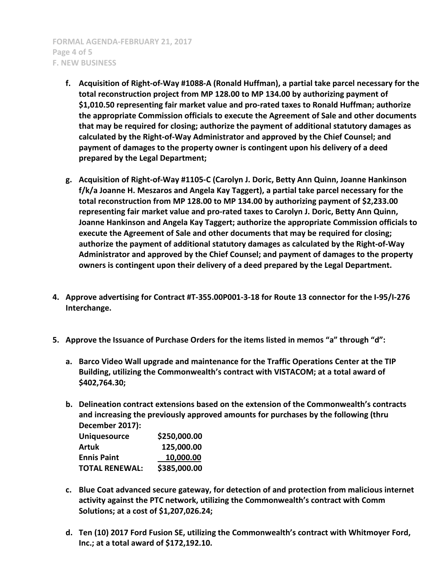**FORMAL AGENDA-FEBRUARY 21, 2017 Page 4 of 5 F. NEW BUSINESS**

- **f. Acquisition of Right-of-Way #1088-A (Ronald Huffman), a partial take parcel necessary for the total reconstruction project from MP 128.00 to MP 134.00 by authorizing payment of \$1,010.50 representing fair market value and pro-rated taxes to Ronald Huffman; authorize the appropriate Commission officials to execute the Agreement of Sale and other documents that may be required for closing; authorize the payment of additional statutory damages as calculated by the Right-of-Way Administrator and approved by the Chief Counsel; and payment of damages to the property owner is contingent upon his delivery of a deed prepared by the Legal Department;**
- **g. Acquisition of Right-of-Way #1105-C (Carolyn J. Doric, Betty Ann Quinn, Joanne Hankinson f/k/a Joanne H. Meszaros and Angela Kay Taggert), a partial take parcel necessary for the total reconstruction from MP 128.00 to MP 134.00 by authorizing payment of \$2,233.00 representing fair market value and pro-rated taxes to Carolyn J. Doric, Betty Ann Quinn, Joanne Hankinson and Angela Kay Taggert; authorize the appropriate Commission officials to execute the Agreement of Sale and other documents that may be required for closing; authorize the payment of additional statutory damages as calculated by the Right-of-Way Administrator and approved by the Chief Counsel; and payment of damages to the property owners is contingent upon their delivery of a deed prepared by the Legal Department.**
- **4. Approve advertising for Contract #T-355.00P001-3-18 for Route 13 connector for the I-95/I-276 Interchange.**
- **5. Approve the Issuance of Purchase Orders for the items listed in memos "a" through "d":**
	- **a. Barco Video Wall upgrade and maintenance for the Traffic Operations Center at the TIP Building, utilizing the Commonwealth's contract with VISTACOM; at a total award of \$402,764.30;**
	- **b. Delineation contract extensions based on the extension of the Commonwealth's contracts and increasing the previously approved amounts for purchases by the following (thru December 2017):**

| <b>Uniquesource</b>   | \$250,000.00 |
|-----------------------|--------------|
| Artuk                 | 125,000.00   |
| <b>Ennis Paint</b>    | 10,000.00    |
| <b>TOTAL RENEWAL:</b> | \$385,000.00 |

- **c. Blue Coat advanced secure gateway, for detection of and protection from malicious internet activity against the PTC network, utilizing the Commonwealth's contract with Comm Solutions; at a cost of \$1,207,026.24;**
- **d. Ten (10) 2017 Ford Fusion SE, utilizing the Commonwealth's contract with Whitmoyer Ford, Inc.; at a total award of \$172,192.10.**